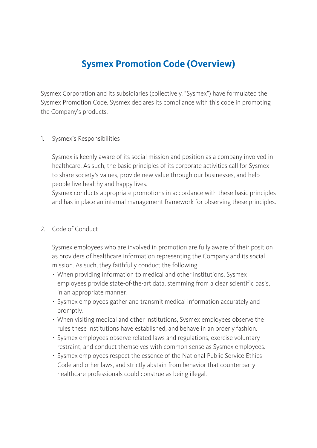## **Sysmex Promotion Code (Overview)**

Sysmex Corporation and its subsidiaries (collectively, "Sysmex") have formulated the Sysmex Promotion Code. Sysmex declares its compliance with this code in promoting the Company's products.

## 1. Sysmex's Responsibilities

Sysmex is keenly aware of its social mission and position as a company involved in healthcare. As such, the basic principles of its corporate activities call for Sysmex to share society's values, provide new value through our businesses, and help people live healthy and happy lives.

Sysmex conducts appropriate promotions in accordance with these basic principles and has in place an internal management framework for observing these principles.

## 2 Code of Conduct

Sysmex employees who are involved in promotion are fully aware of their position as providers of healthcare information representing the Company and its social mission. As such, they faithfully conduct the following.

- ・ When providing information to medical and other institutions, Sysmex employees provide state-of-the-art data, stemming from a clear scientific basis, in an appropriate manner.
- ・ Sysmex employees gather and transmit medical information accurately and promptly.
- ・ When visiting medical and other institutions, Sysmex employees observe the rules these institutions have established, and behave in an orderly fashion.
- ・ Sysmex employees observe related laws and regulations, exercise voluntary restraint, and conduct themselves with common sense as Sysmex employees.
- ・ Sysmex employees respect the essence of the National Public Service Ethics Code and other laws, and strictly abstain from behavior that counterparty healthcare professionals could construe as being illegal.